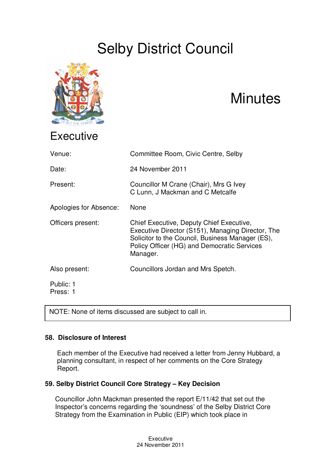# Selby District Council



## **Minutes**

| Venue:                 | Committee Room, Civic Centre, Selby                                                                                                                                                                          |
|------------------------|--------------------------------------------------------------------------------------------------------------------------------------------------------------------------------------------------------------|
| Date:                  | 24 November 2011                                                                                                                                                                                             |
| Present:               | Councillor M Crane (Chair), Mrs G Ivey<br>C Lunn, J Mackman and C Metcalfe                                                                                                                                   |
| Apologies for Absence: | None                                                                                                                                                                                                         |
| Officers present:      | Chief Executive, Deputy Chief Executive,<br>Executive Director (S151), Managing Director, The<br>Solicitor to the Council, Business Manager (ES),<br>Policy Officer (HG) and Democratic Services<br>Manager. |
| Also present:          | Councillors Jordan and Mrs Spetch.                                                                                                                                                                           |
| Public: 1<br>Press: 1  |                                                                                                                                                                                                              |

NOTE: None of items discussed are subject to call in.

## **58. Disclosure of Interest**

Each member of the Executive had received a letter from Jenny Hubbard, a planning consultant, in respect of her comments on the Core Strategy Report.

## **59. Selby District Council Core Strategy – Key Decision**

Councillor John Mackman presented the report E/11/42 that set out the Inspector's concerns regarding the 'soundness' of the Selby District Core Strategy from the Examination in Public (EIP) which took place in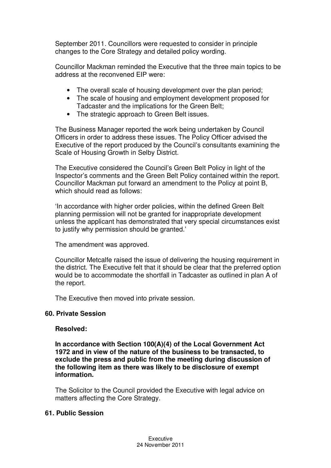September 2011. Councillors were requested to consider in principle changes to the Core Strategy and detailed policy wording.

Councillor Mackman reminded the Executive that the three main topics to be address at the reconvened EIP were:

- The overall scale of housing development over the plan period;
- The scale of housing and employment development proposed for Tadcaster and the implications for the Green Belt;
- The strategic approach to Green Belt issues.

The Business Manager reported the work being undertaken by Council Officers in order to address these issues. The Policy Officer advised the Executive of the report produced by the Council's consultants examining the Scale of Housing Growth in Selby District.

The Executive considered the Council's Green Belt Policy in light of the Inspector's comments and the Green Belt Policy contained within the report. Councillor Mackman put forward an amendment to the Policy at point B, which should read as follows:

'In accordance with higher order policies, within the defined Green Belt planning permission will not be granted for inappropriate development unless the applicant has demonstrated that very special circumstances exist to justify why permission should be granted.'

The amendment was approved.

Councillor Metcalfe raised the issue of delivering the housing requirement in the district. The Executive felt that it should be clear that the preferred option would be to accommodate the shortfall in Tadcaster as outlined in plan A of the report.

The Executive then moved into private session.

#### **60. Private Session**

#### **Resolved:**

**In accordance with Section 100(A)(4) of the Local Government Act 1972 and in view of the nature of the business to be transacted, to exclude the press and public from the meeting during discussion of the following item as there was likely to be disclosure of exempt information.**

The Solicitor to the Council provided the Executive with legal advice on matters affecting the Core Strategy.

### **61. Public Session**